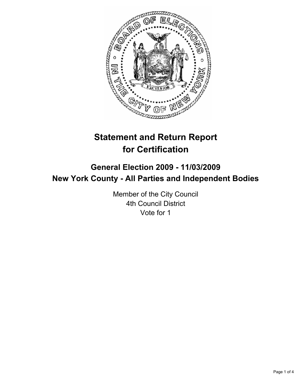

# **Statement and Return Report for Certification**

## **General Election 2009 - 11/03/2009 New York County - All Parties and Independent Bodies**

Member of the City Council 4th Council District Vote for 1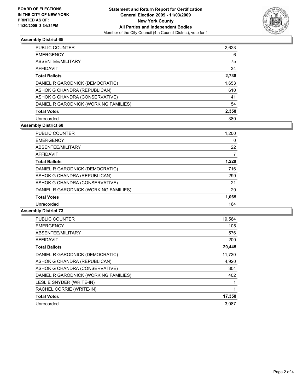

### **Assembly District 65**

| PUBLIC COUNTER                        | 2,623 |
|---------------------------------------|-------|
| <b>EMERGENCY</b>                      | 6     |
| ABSENTEE/MILITARY                     | 75    |
| AFFIDAVIT                             | 34    |
| <b>Total Ballots</b>                  | 2,738 |
| DANIEL R GARODNICK (DEMOCRATIC)       | 1,653 |
| ASHOK G CHANDRA (REPUBLICAN)          | 610   |
| ASHOK G CHANDRA (CONSERVATIVE)        | 41    |
| DANIEL R GARODNICK (WORKING FAMILIES) | 54    |
| <b>Total Votes</b>                    | 2,358 |
| Unrecorded                            | 380   |

### **Assembly District 68**

| <b>EMERGENCY</b><br>0<br>22<br>ABSENTEE/MILITARY |
|--------------------------------------------------|
|                                                  |
|                                                  |
| <b>AFFIDAVIT</b><br>7                            |
| 1.229<br><b>Total Ballots</b>                    |
| 716<br>DANIEL R GARODNICK (DEMOCRATIC)           |
| ASHOK G CHANDRA (REPUBLICAN)<br>299              |
| ASHOK G CHANDRA (CONSERVATIVE)<br>21             |
| DANIEL R GARODNICK (WORKING FAMILIES)<br>29      |
| 1,065<br><b>Total Votes</b>                      |
| 164<br>Unrecorded                                |

#### **Assembly District 73**

| <b>PUBLIC COUNTER</b>                 | 19,564 |
|---------------------------------------|--------|
| <b>EMERGENCY</b>                      | 105    |
| ABSENTEE/MILITARY                     | 576    |
| <b>AFFIDAVIT</b>                      | 200    |
| <b>Total Ballots</b>                  | 20,445 |
| DANIEL R GARODNICK (DEMOCRATIC)       | 11,730 |
| ASHOK G CHANDRA (REPUBLICAN)          | 4,920  |
| ASHOK G CHANDRA (CONSERVATIVE)        | 304    |
| DANIEL R GARODNICK (WORKING FAMILIES) | 402    |
| LESLIE SNYDER (WRITE-IN)              |        |
| RACHEL CORRIE (WRITE-IN)              | 1      |
| <b>Total Votes</b>                    | 17,358 |
| Unrecorded                            | 3.087  |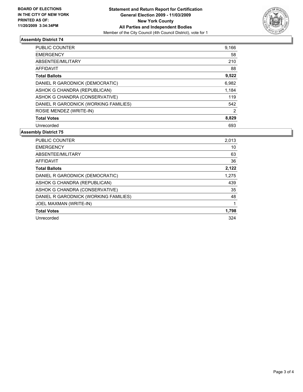

### **Assembly District 74**

| <b>PUBLIC COUNTER</b>                 | 9,166 |
|---------------------------------------|-------|
| <b>EMERGENCY</b>                      | 58    |
| ABSENTEE/MILITARY                     | 210   |
| AFFIDAVIT                             | 88    |
| <b>Total Ballots</b>                  | 9,522 |
| DANIEL R GARODNICK (DEMOCRATIC)       | 6,982 |
| ASHOK G CHANDRA (REPUBLICAN)          | 1,184 |
| ASHOK G CHANDRA (CONSERVATIVE)        | 119   |
| DANIEL R GARODNICK (WORKING FAMILIES) | 542   |
| ROSIE MENDEZ (WRITE-IN)               | 2     |
| <b>Total Votes</b>                    | 8,829 |
| Unrecorded                            | 693   |

#### **Assembly District 75**

| <b>PUBLIC COUNTER</b>                 | 2,013 |
|---------------------------------------|-------|
| <b>EMERGENCY</b>                      | 10    |
| ABSENTEE/MILITARY                     | 63    |
| <b>AFFIDAVIT</b>                      | 36    |
| <b>Total Ballots</b>                  | 2,122 |
| DANIEL R GARODNICK (DEMOCRATIC)       | 1,275 |
| ASHOK G CHANDRA (REPUBLICAN)          | 439   |
| ASHOK G CHANDRA (CONSERVATIVE)        | 35    |
| DANIEL R GARODNICK (WORKING FAMILIES) | 48    |
| JOEL MAXMAN (WRITE-IN)                |       |
| <b>Total Votes</b>                    | 1,798 |
| Unrecorded                            | 324   |